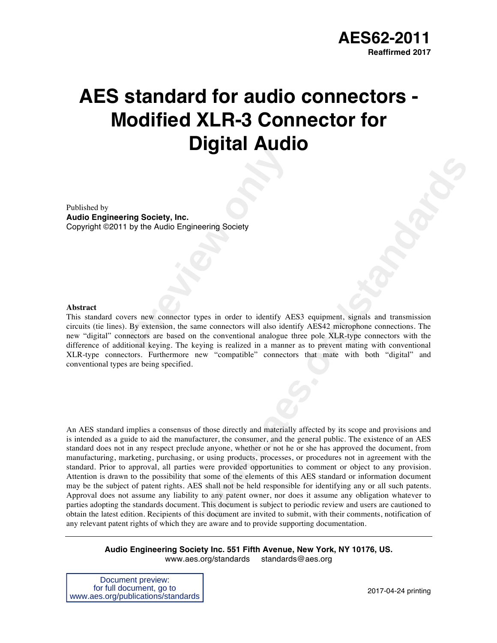# **AES standard for audio connectors - Modified XLR-3 Connector for Digital Audio**

Published by **Audio Engineering Society, Inc.** Copyright ©2011 by the Audio Engineering Society

#### **Abstract**

**Previously the Audio Engineering Society**<br>
ers new connector types in order to identify AF<br>
By extension, the same connectors will also idented<br>
mectors are based on the conventional analogue tional keying. The keying is This standard covers new connector types in order to identify AES3 equipment, signals and transmission circuits (tie lines). By extension, the same connectors will also identify AES42 microphone connections. The new "digital" connectors are based on the conventional analogue three pole XLR-type connectors with the difference of additional keying. The keying is realized in a manner as to prevent mating with conventional XLR-type connectors. Furthermore new "compatible" connectors that mate with both "digital" and conventional types are being specified.

**Example Society**<br> **example Society**<br> **we connecters will also identify AES3** equipment, signals and transmission<br> **the conventional analogue three pole XLR-type connecters** with the<br> **the conventional analogue three pole** An AES standard implies a consensus of those directly and materially affected by its scope and provisions and is intended as a guide to aid the manufacturer, the consumer, and the general public. The existence of an AES standard does not in any respect preclude anyone, whether or not he or she has approved the document, from manufacturing, marketing, purchasing, or using products, processes, or procedures not in agreement with the standard. Prior to approval, all parties were provided opportunities to comment or object to any provision. Attention is drawn to the possibility that some of the elements of this AES standard or information document may be the subject of patent rights. AES shall not be held responsible for identifying any or all such patents. Approval does not assume any liability to any patent owner, nor does it assume any obligation whatever to parties adopting the standards document. This document is subject to periodic review and users are cautioned to obtain the latest edition. Recipients of this document are invited to submit, with their comments, notification of any relevant patent rights of which they are aware and to provide supporting documentation.

**Audio Engineering Society Inc. 551 Fifth Avenue, New York, NY 10176, US.** www.aes.org/standards standards@aes.org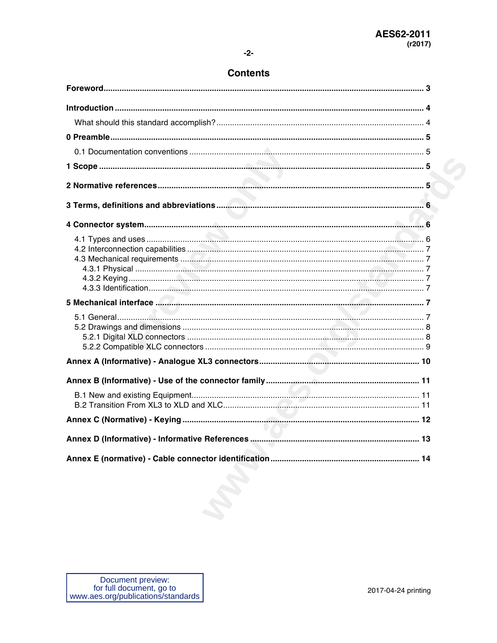#### $-2-$

### **Contents**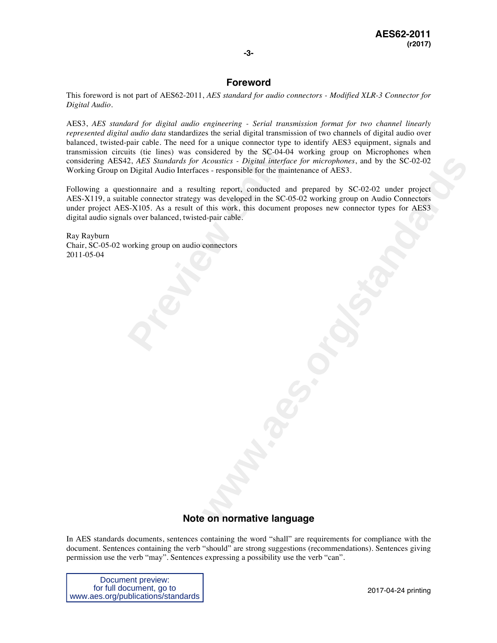#### **-3-**

#### **Foreword**

This foreword is not part of AES62-2011, *AES standard for audio connectors - Modified XLR-3 Connector for Digital Audio*.

AES3, *AES standard for digital audio engineering - Serial transmission format for two channel linearly represented digital audio data* standardizes the serial digital transmission of two channels of digital audio over balanced, twisted-pair cable. The need for a unique connector type to identify AES3 equipment, signals and transmission circuits (tie lines) was considered by the SC-04-04 working group on Microphones when considering AES42, *AES Standards for Acoustics - Digital interface for microphones*, and by the SC-02-02 Working Group on Digital Audio Interfaces - responsible for the maintenance of AES3.

its (tie lines) was considered by the SC-04-04<br>2, *AES Standards for Acoustics - Digital interfac*<br>1 Digital Audio Interfaces - responsible for the main<br>tionnaire and a resulting report, conducted and<br>the connector strateg *Acoustics • Digital interface for microphones*, and by the SC 02-02<br>
es. responsible for the maintenance of AFS3.<br>
was developed in the SC 05-02 working group on Audio Connectors<br>
this work, this document proposes new con Following a questionnaire and a resulting report, conducted and prepared by SC-02-02 under project AES-X119, a suitable connector strategy was developed in the SC-05-02 working group on Audio Connectors under project AES-X105. As a result of this work, this document proposes new connector types for AES3 digital audio signals over balanced, twisted-pair cable.

Ray Rayburn Chair, SC-05-02 working group on audio connectors 2011-05-04

#### **Note on normative language**

In AES standards documents, sentences containing the word "shall" are requirements for compliance with the document. Sentences containing the verb "should" are strong suggestions (recommendations). Sentences giving permission use the verb "may". Sentences expressing a possibility use the verb "can".

Document preview: for full document, go to www.aes.org/publications/standards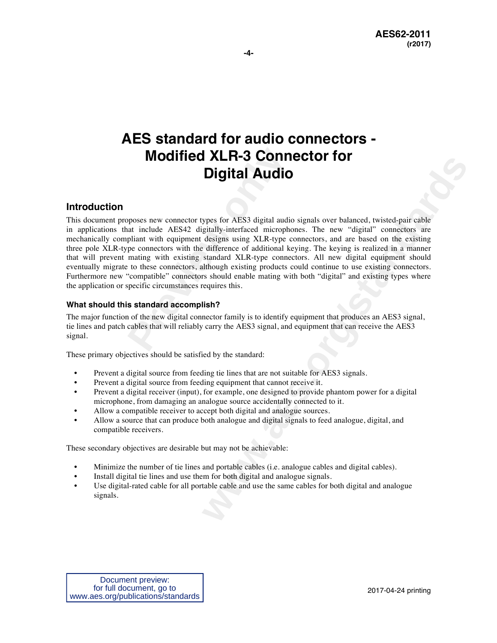## **AES standard for audio connectors - Modified XLR-3 Connector for Digital Audio**

#### **Introduction**

**Modified XLR-3 Conners Digital Audio**<br> **Digital Audio**<br>
physoses new connector types for AES3 digital audio<br>
pliant with equipment designs using XLR-type co<br>
pe connectors with the difference of additional ke<br>
mating with **Example 2011 INCRET CONTRACT CONTRACT CONTRACT CONTRACT CONTRACT CONTRACT CONTRACT SURFACT CONTRACT SURFACT CONTRACT CONTRACT CONTRACT CONTRACT CONTRACT CONTRACT CONTRACT CONTRACT CONTRACT CONTRACT CONTRACT CONTRACT CONTR** This document proposes new connector types for AES3 digital audio signals over balanced, twisted-pair cable in applications that include AES42 digitally-interfaced microphones. The new "digital" connectors are mechanically compliant with equipment designs using XLR-type connectors, and are based on the existing three pole XLR-type connectors with the difference of additional keying. The keying is realized in a manner that will prevent mating with existing standard XLR-type connectors. All new digital equipment should eventually migrate to these connectors, although existing products could continue to use existing connectors. Furthermore new "compatible" connectors should enable mating with both "digital" and existing types where the application or specific circumstances requires this.

#### **What should this standard accomplish?**

The major function of the new digital connector family is to identify equipment that produces an AES3 signal, tie lines and patch cables that will reliably carry the AES3 signal, and equipment that can receive the AES3 signal.

These primary objectives should be satisfied by the standard:

- Prevent a digital source from feeding tie lines that are not suitable for AES3 signals.
- Prevent a digital source from feeding equipment that cannot receive it.
- Prevent a digital receiver (input), for example, one designed to provide phantom power for a digital microphone, from damaging an analogue source accidentally connected to it.
- Allow a compatible receiver to accept both digital and analogue sources.
- Allow a source that can produce both analogue and digital signals to feed analogue, digital, and compatible receivers.

These secondary objectives are desirable but may not be achievable:

- Minimize the number of tie lines and portable cables (i.e. analogue cables and digital cables).
- Install digital tie lines and use them for both digital and analogue signals.
- Use digital-rated cable for all portable cable and use the same cables for both digital and analogue signals.